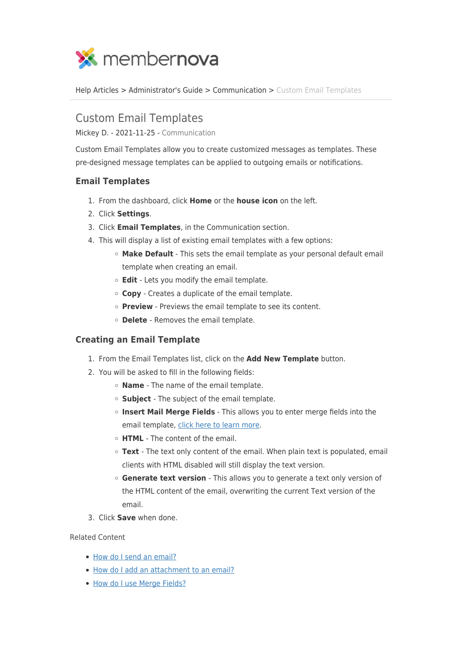

[Help Articles](https://www.membernovasupport.com/kb) > [Administrator's Guide](https://www.membernovasupport.com/kb/administrator-s-guide) > [Communication](https://www.membernovasupport.com/kb/communication-4) > [Custom Email Templates](https://www.membernovasupport.com/kb/articles/custom-email-templates)

## Custom Email Templates

Mickey D. - 2021-11-25 - [Communication](https://www.membernovasupport.com/kb/communication-4)

Custom Email Templates allow you to create customized messages as templates. These pre-designed message templates can be applied to outgoing emails or notifications.

## **Email Templates**

- 1. From the dashboard, click **Home** or the **house icon** on the left.
- 2. Click **Settings**.
- 3. Click **Email Templates**, in the Communication section.
- 4. This will display a list of existing email templates with a few options:
	- **Make Default** This sets the email template as your personal default email template when creating an email.
	- **Edit**  Lets you modify the email template.
	- **Copy**  Creates a duplicate of the email template.
	- **Preview** Previews the email template to see its content.
	- **Delete**  Removes the email template.

## **Creating an Email Template**

- 1. From the Email Templates list, click on the **Add New Template** button.
- 2. You will be asked to fill in the following fields:
	- **Name**  The name of the email template.
	- **Subject**  The subject of the email template.
	- **Insert Mail Merge Fields** This allows you to enter merge fields into the email template, [click here to learn more](https://www.membernovasupport.com/kb/articles/how-do-i-use-merge-fields).
	- **HTML**  The content of the email.
	- **Text**  The text only content of the email. When plain text is populated, email clients with HTML disabled will still display the text version.
	- **Generate text version**  This allows you to generate a text only version of the HTML content of the email, overwriting the current Text version of the email.
- 3. Click **Save** when done.

## Related Content

- [How do I send an email?](https://www.membernovasupport.com/kb/articles/how-do-i-send-an-email-2)
- [How do I add an attachment to an email?](https://www.membernovasupport.com/kb/articles/how-do-i-add-an-attachment-to-an-email-2)
- [How do I use Merge Fields?](https://www.membernovasupport.com/kb/articles/how-do-i-use-merge-fields)